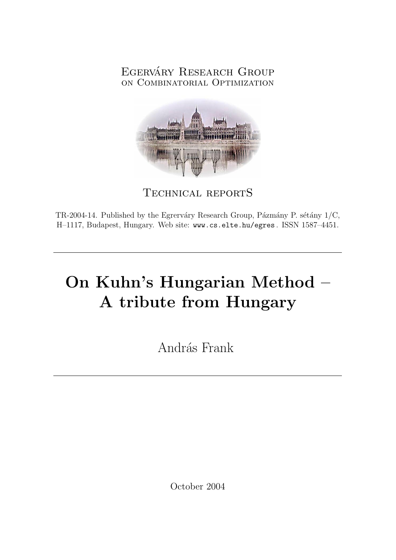# EGERVÁRY RESEARCH GROUP on Combinatorial Optimization



Technical reportS

TR-2004-14. Published by the Egrerváry Research Group, Pázmány P. sétány  $1/C$ , H–1117, Budapest, Hungary. Web site: www.cs.elte.hu/egres . ISSN 1587–4451.

# On Kuhn's Hungarian Method – A tribute from Hungary

András Frank

October 2004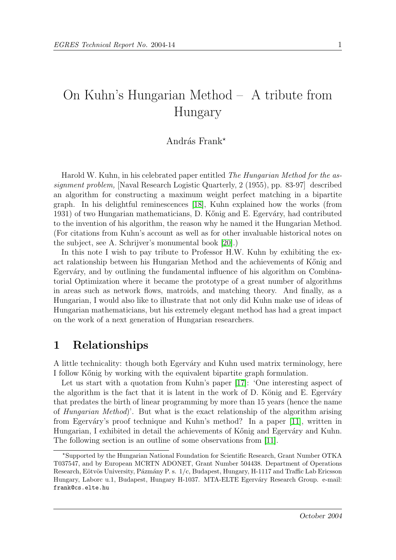# On Kuhn's Hungarian Method – A tribute from Hungary

#### András Frank\*

Harold W. Kuhn, in his celebrated paper entitled The Hungarian Method for the assignment problem, [Naval Research Logistic Quarterly, 2 (1955), pp. 83-97] described an algorithm for constructing a maximum weight perfect matching in a bipartite graph. In his delightful reminescences [\[18\]](#page-7-0), Kuhn explained how the works (from 1931) of two Hungarian mathematicians, D. Kőnig and E. Egerváry, had contributed to the invention of his algorithm, the reason why he named it the Hungarian Method. (For citations from Kuhn's account as well as for other invaluable historical notes on the subject, see A. Schrijver's monumental book [\[20\]](#page-7-1).)

In this note I wish to pay tribute to Professor H.W. Kuhn by exhibiting the exact ralationship between his Hungarian Method and the achievements of Kőnig and Egerváry, and by outlining the fundamental influence of his algorithm on Combinatorial Optimization where it became the prototype of a great number of algorithms in areas such as network flows, matroids, and matching theory. And finally, as a Hungarian, I would also like to illustrate that not only did Kuhn make use of ideas of Hungarian mathematicians, but his extremely elegant method has had a great impact on the work of a next generation of Hungarian researchers.

### 1 Relationships

A little technicality: though both Egerváry and Kuhn used matrix terminology, here I follow Kőnig by working with the equivalent bipartite graph formulation.

Let us start with a quotation from Kuhn's paper [\[17\]](#page-7-2): 'One interesting aspect of the algorithm is the fact that it is latent in the work of  $D$ . König and  $E$ . Egerváry that predates the birth of linear programming by more than 15 years (hence the name of Hungarian Method)'. But what is the exact relationship of the algorithm arising from Egerváry's proof technique and Kuhn's method? In a paper [\[11\]](#page-6-0), written in Hungarian, I exhibited in detail the achievements of Kőnig and Egerváry and Kuhn. The following section is an outline of some observations from [\[11\]](#page-6-0).

<sup>?</sup>Supported by the Hungarian National Foundation for Scientific Research, Grant Number OTKA T037547, and by European MCRTN ADONET, Grant Number 504438. Department of Operations Research, Eötvös University, Pázmány P. s. 1/c, Budapest, Hungary, H-1117 and Traffic Lab Ericsson Hungary, Laborc u.1, Budapest, Hungary H-1037. MTA-ELTE Egerváry Research Group. e-mail: frank@cs.elte.hu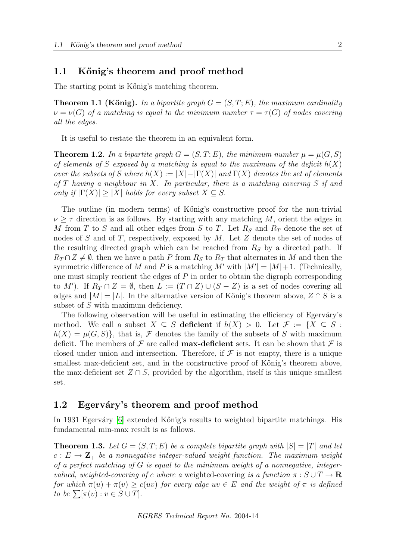#### 1.1 Kőnig's theorem and proof method

The starting point is K" is matching theorem.

**Theorem 1.1 (Kőnig).** In a bipartite graph  $G = (S, T; E)$ , the maximum cardinality  $\nu = \nu(G)$  of a matching is equal to the minimum number  $\tau = \tau(G)$  of nodes covering all the edges.

It is useful to restate the theorem in an equivalent form.

**Theorem 1.2.** In a bipartite graph  $G = (S, T; E)$ , the minimum number  $\mu = \mu(G, S)$ of elements of S exposed by a matching is equal to the maximum of the deficit  $h(X)$ over the subsets of S where  $h(X) := |X| - |\Gamma(X)|$  and  $\Gamma(X)$  denotes the set of elements of T having a neighbour in X. In particular, there is a matching covering S if and only if  $|\Gamma(X)| \geq |X|$  holds for every subset  $X \subseteq S$ .

The outline (in modern terms) of Kőnig's constructive proof for the non-trivial  $\nu \geq \tau$  direction is as follows. By starting with any matching M, orient the edges in M from T to S and all other edges from S to T. Let  $R<sub>S</sub>$  and  $R<sub>T</sub>$  denote the set of nodes of S and of T, respectively, exposed by M. Let Z denote the set of nodes of the resulting directed graph which can be reached from  $R<sub>S</sub>$  by a directed path. If  $R_T \cap Z \neq \emptyset$ , then we have a path P from  $R_S$  to  $R_T$  that alternates in M and then the symmetric difference of M and P is a matching  $M'$  with  $|M'| = |M| + 1$ . (Technically, one must simply reorient the edges of  $P$  in order to obtain the digraph corresponding to M'). If  $R_T \cap Z = \emptyset$ , then  $L := (T \cap Z) \cup (S - Z)$  is a set of nodes covering all edges and  $|M| = |L|$ . In the alternative version of Kőnig's theorem above,  $Z \cap S$  is a subset of S with maximum deficiency.

The following observation will be useful in estimating the efficiency of Egerváry's method. We call a subset  $X \subseteq S$  deficient if  $h(X) > 0$ . Let  $\mathcal{F} := \{X \subseteq S :$  $h(X) = \mu(G, S)$ , that is, F denotes the family of the subsets of S with maximum deficit. The members of  $\mathcal F$  are called **max-deficient** sets. It can be shown that  $\mathcal F$  is closed under union and intersection. Therefore, if  $\mathcal F$  is not empty, there is a unique smallest max-deficient set, and in the constructive proof of K"onig's theorem above, the max-deficient set  $Z \cap S$ , provided by the algorithm, itself is this unique smallest set.

#### 1.2 Egerváry's theorem and proof method

In 1931 Egerváry [\[6\]](#page-6-1) extended Kőnig's results to weighted bipartite matchings. His fundamental min-max result is as follows.

**Theorem 1.3.** Let  $G = (S, T; E)$  be a complete bipartite graph with  $|S| = |T|$  and let  $c: E \to \mathbb{Z}_+$  be a nonnegative integer-valued weight function. The maximum weight of a perfect matching of  $G$  is equal to the minimum weight of a nonnegative, integervalued, weighted-covering of c where a weighted-covering is a function  $\pi : S \cup T \to \mathbf{R}$ for which  $\pi(u) + \pi(v) \geq c(uv)$  for every edge  $uv \in E$  and the weight of  $\pi$  is defined to be  $\sum [\pi(v) : v \in S \cup T].$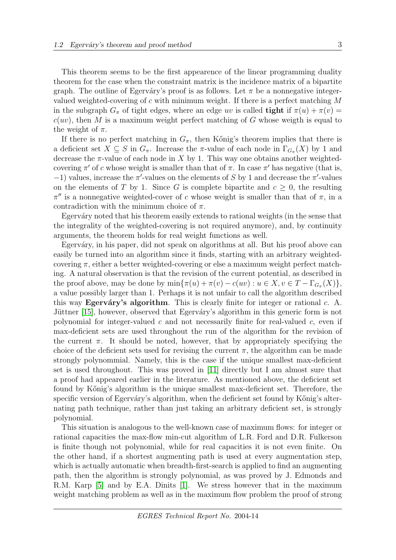This theorem seems to be the first appearence of the linear programming duality theorem for the case when the constraint matrix is the incidence matrix of a bipartite graph. The outline of Egerváry's proof is as follows. Let  $\pi$  be a nonnegative integervalued weighted-covering of c with minimum weight. If there is a perfect matching  $M$ in the subgraph  $G_\pi$  of tight edges, where an edge uv is called **tight** if  $\pi(u) + \pi(v) =$  $c(uv)$ , then M is a maximum weight perfect matching of G whose weigth is equal to the weight of  $\pi$ .

If there is no perfect matching in  $G_{\pi}$ , then Kőnig's theorem implies that there is a deficient set  $X \subseteq S$  in  $G_{\pi}$ . Increase the  $\pi$ -value of each node in  $\Gamma_{G_{\pi}}(X)$  by 1 and decrease the  $\pi$ -value of each node in X by 1. This way one obtains another weightedcovering  $\pi'$  of c whose weight is smaller than that of  $\pi$ . In case  $\pi'$  has negative (that is,  $-1$ ) values, increase the  $\pi'$ -values on the elements of S by 1 and decrease the  $\pi'$ -values on the elements of T by 1. Since G is complete bipartite and  $c \geq 0$ , the resulting  $\pi''$  is a nonnegative weighted-cover of c whose weight is smaller than that of  $\pi$ , in a contradiction with the minimum choice of  $\pi$ .

Egerváry noted that his theorem easily extends to rational weights (in the sense that the integrality of the weighted-covering is not required anymore), and, by continuity arguments, the theorem holds for real weight functions as well.

Egerváry, in his paper, did not speak on algorithms at all. But his proof above can easily be turned into an algorithm since it finds, starting with an arbitrary weightedcovering  $\pi$ , either a better weighted-covering or else a maximum weight perfect matching. A natural observation is that the revision of the current potential, as described in the proof above, may be done by  $\min{\pi(u) + \pi(v) - c(uv) : u \in X, v \in T - \Gamma_{G_\pi}(X)}$ , a value possibly larger than 1. Perhaps it is not unfair to call the algorithm described this way Egerváry's algorithm. This is clearly finite for integer or rational  $c$ . A. Jüttner [\[15\]](#page-7-3), however, observed that Egerváry's algorithm in this generic form is not polynomial for integer-valued  $c$  and not necessarily finite for real-valued  $c$ , even if max-deficient sets are used throughout the run of the algorithm for the revision of the current  $\pi$ . It should be noted, however, that by appropriately specifying the choice of the deficient sets used for revising the current  $\pi$ , the algorithm can be made strongly polynommial. Namely, this is the case if the unique smallest max-deficient set is used throughout. This was proved in [\[11\]](#page-6-0) directly but I am almost sure that a proof had appeared earlier in the literature. As mentioned above, the deficient set found by Kőnig's algorithm is the unique smallest max-deficient set. Therefore, the specific version of Egerváry's algorithm, when the deficient set found by Kőnig's alternating path technique, rather than just taking an arbitrary deficient set, is strongly polynomial.

This situation is analogous to the well-known case of maximum flows: for integer or rational capacities the max-flow min-cut algorithm of L.R. Ford and D.R. Fulkerson is finite though not polynomial, while for real capacities it is not even finite. On the other hand, if a shortest augmenting path is used at every augmentation step, which is actually automatic when breadth-first-search is applied to find an augmenting path, then the algorithm is strongly polynomial, as was proved by J. Edmonds and R.M. Karp [\[5\]](#page-6-2) and by E.A. Dinits [\[1\]](#page-6-3). We stress however that in the maximum weight matching problem as well as in the maximum flow problem the proof of strong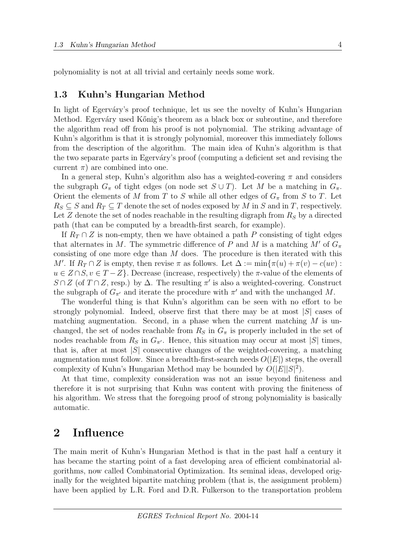polynomiality is not at all trivial and certainly needs some work.

#### 1.3 Kuhn's Hungarian Method

In light of Egerváry's proof technique, let us see the novelty of Kuhn's Hungarian Method. Egerváry used Kőnig's theorem as a black box or subroutine, and therefore the algorithm read off from his proof is not polynomial. The striking advantage of Kuhn's algorithm is that it is strongly polynomial, moreover this immediately follows from the description of the algorithm. The main idea of Kuhn's algorithm is that the two separate parts in Egerváry's proof (computing a deficient set and revising the current  $\pi$ ) are combined into one.

In a general step, Kuhn's algorithm also has a weighted-covering  $\pi$  and considers the subgraph  $G_{\pi}$  of tight edges (on node set  $S \cup T$ ). Let M be a matching in  $G_{\pi}$ . Orient the elements of M from T to S while all other edges of  $G_{\pi}$  from S to T. Let  $R_S \subseteq S$  and  $R_T \subseteq T$  denote the set of nodes exposed by M in S and in T, respectively. Let Z denote the set of nodes reachable in the resulting digraph from  $R<sub>S</sub>$  by a directed path (that can be computed by a breadth-first search, for example).

If  $R_T \cap Z$  is non-empty, then we have obtained a path P consisting of tight edges that alternates in M. The symmetric difference of P and M is a matching  $M'$  of  $G_\pi$ consisting of one more edge than M does. The procedure is then iterated with this M'. If  $R_T \cap Z$  is empty, then revise  $\pi$  as follows. Let  $\Delta := \min\{\pi(u) + \pi(v) - c(uv) :$  $u \in Z \cap S, v \in T - Z$ . Decrease (increase, respectively) the  $\pi$ -value of the elements of  $S \cap Z$  (of  $T \cap Z$ , resp.) by  $\Delta$ . The resulting  $\pi'$  is also a weighted-covering. Construct the subgraph of  $G_{\pi'}$  and iterate the procedure with  $\pi'$  and with the unchanged M.

The wonderful thing is that Kuhn's algorithm can be seen with no effort to be strongly polynomial. Indeed, observe first that there may be at most  $|S|$  cases of matching augmentation. Second, in a phase when the current matching  $M$  is unchanged, the set of nodes reachable from  $R<sub>S</sub>$  in  $G<sub>\pi</sub>$  is properly included in the set of nodes reachable from  $R_S$  in  $G_{\pi'}$ . Hence, this situation may occur at most |S| times, that is, after at most  $|S|$  consecutive changes of the weighted-covering, a matching augmentation must follow. Since a breadth-first-search needs  $O(|E|)$  steps, the overall complexity of Kuhn's Hungarian Method may be bounded by  $O(|E||S|^2)$ .

At that time, complexity consideration was not an issue beyond finiteness and therefore it is not surprising that Kuhn was content with proving the finiteness of his algorithm. We stress that the foregoing proof of strong polynomiality is basically automatic.

#### 2 Influence

The main merit of Kuhn's Hungarian Method is that in the past half a century it has became the starting point of a fast developing area of efficient combinatorial algorithms, now called Combinatorial Optimization. Its seminal ideas, developed originally for the weighted bipartite matching problem (that is, the assignment problem) have been applied by L.R. Ford and D.R. Fulkerson to the transportation problem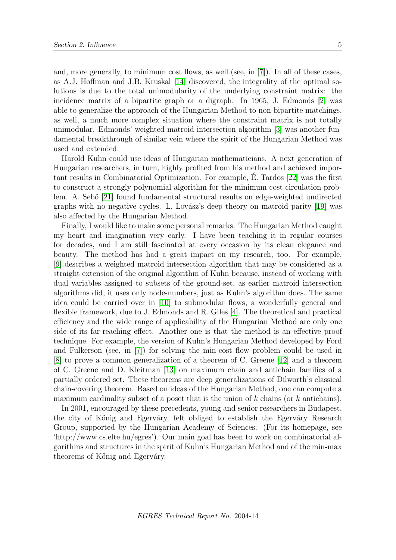and, more generally, to minimum cost flows, as well (see, in [\[7\]](#page-6-4)). In all of these cases, as A.J. Hoffman and J.B. Kruskal [\[14\]](#page-6-5) discovered, the integrality of the optimal solutions is due to the total unimodularity of the underlying constraint matrix: the incidence matrix of a bipartite graph or a digraph. In 1965, J. Edmonds [\[2\]](#page-6-6) was able to generalize the approach of the Hungarian Method to non-bipartite matchings, as well, a much more complex situation where the constraint matrix is not totally unimodular. Edmonds' weighted matroid intersection algorithm [\[3\]](#page-6-7) was another fundamental breakthrough of similar vein where the spirit of the Hungarian Method was used and extended.

Harold Kuhn could use ideas of Hungarian mathematicians. A next generation of Hungarian researchers, in turn, highly profited from his method and achieved important results in Combinatorial Optimization. For example, E. Tardos [\[22\]](#page-7-4) was the first ´ to construct a strongly polynomial algorithm for the minimum cost circulation prob-lem. A. Sebő [\[21\]](#page-7-5) found fundamental structural results on edge-weighted undirected graphs with no negative cycles. L. Lovász's deep theory on matroid parity  $[19]$  was also affected by the Hungarian Method.

Finally, I would like to make some personal remarks. The Hungarian Method caught my heart and imagination very early. I have been teaching it in regular courses for decades, and I am still fascinated at every occasion by its clean elegance and beauty. The method has had a great impact on my research, too. For example, [\[9\]](#page-6-8) describes a weighted matroid intersection algorithm that may be considered as a straight extension of the original algorithm of Kuhn because, instead of working with dual variables assigned to subsets of the ground-set, as earlier matroid intersection algorithms did, it uses only node-numbers, just as Kuhn's algorithm does. The same idea could be carried over in [\[10\]](#page-6-9) to submodular flows, a wonderfully general and flexible framework, due to J. Edmonds and R. Giles [\[4\]](#page-6-10). The theoretical and practical efficiency and the wide range of applicability of the Hungarian Method are only one side of its far-reaching effect. Another one is that the method is an effective proof technique. For example, the version of Kuhn's Hungarian Method developed by Ford and Fulkerson (see, in [\[7\]](#page-6-4)) for solving the min-cost flow problem could be used in [\[8\]](#page-6-11) to prove a common generalization of a theorem of C. Greene [\[12\]](#page-6-12) and a theorem of C. Greene and D. Kleitman [\[13\]](#page-6-13) on maximum chain and antichain families of a partially ordered set. These theorems are deep generalizations of Dilworth's classical chain-covering theorem. Based on ideas of the Hungarian Method, one can compute a maximum cardinality subset of a poset that is the union of  $k$  chains (or  $k$  antichains).

In 2001, encouraged by these precedents, young and senior researchers in Budapest, the city of Kőnig and Egerváry, felt obliged to establish the Egerváry Research Group, supported by the Hungarian Academy of Sciences. (For its homepage, see 'http://www.cs.elte.hu/egres'). Our main goal has been to work on combinatorial algorithms and structures in the spirit of Kuhn's Hungarian Method and of the min-max theorems of Kőnig and Egerváry.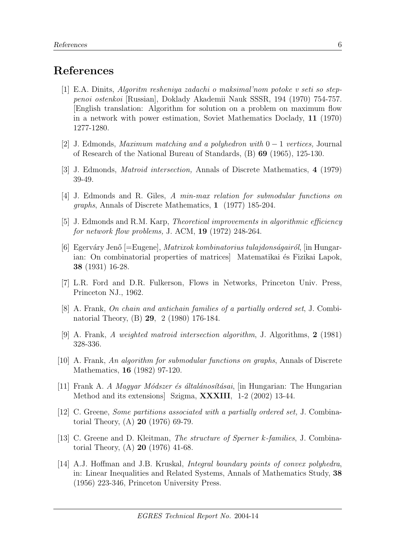# References

- <span id="page-6-3"></span>[1] E.A. Dinits, Algoritm resheniya zadachi o maksimal'nom potoke v seti so steppenoi ostenkoi [Russian], Doklady Akademii Nauk SSSR, 194 (1970) 754-757. [English translation: Algorithm for solution on a problem on maximum flow in a network with power estimation, Soviet Mathematics Doclady, 11 (1970) 1277-1280.
- <span id="page-6-6"></span>[2] J. Edmonds, Maximum matching and a polyhedron with 0 − 1 vertices, Journal of Research of the National Bureau of Standards, (B) 69 (1965), 125-130.
- <span id="page-6-7"></span>[3] J. Edmonds, Matroid intersection, Annals of Discrete Mathematics, 4 (1979) 39-49.
- <span id="page-6-10"></span>[4] J. Edmonds and R. Giles, A min-max relation for submodular functions on graphs, Annals of Discrete Mathematics, 1 (1977) 185-204.
- <span id="page-6-2"></span>[5] J. Edmonds and R.M. Karp, Theoretical improvements in algorithmic efficiency for network flow problems, J. ACM, 19 (1972) 248-264.
- <span id="page-6-1"></span>[6] Egerváry Jenő [=Eugene], *Matrixok kombinatorius tulajdonságairól*, [in Hungarian: On combinatorial properties of matrices Matematikai és Fizikai Lapok, 38 (1931) 16-28.
- <span id="page-6-4"></span>[7] L.R. Ford and D.R. Fulkerson, Flows in Networks, Princeton Univ. Press, Princeton NJ., 1962.
- <span id="page-6-11"></span>[8] A. Frank, On chain and antichain families of a partially ordered set, J. Combinatorial Theory, (B) 29, 2 (1980) 176-184.
- <span id="page-6-8"></span>[9] A. Frank, A weighted matroid intersection algorithm, J. Algorithms, 2 (1981) 328-336.
- <span id="page-6-9"></span>[10] A. Frank, An algorithm for submodular functions on graphs, Annals of Discrete Mathematics, 16 (1982) 97-120.
- <span id="page-6-0"></span>[11] Frank A. A Magyar Módszer és általánosításai, [in Hungarian: The Hungarian] Method and its extensions] Szigma, XXXIII, 1-2 (2002) 13-44.
- <span id="page-6-12"></span>[12] C. Greene, Some partitions associated with a partially ordered set, J. Combinatorial Theory, (A) 20 (1976) 69-79.
- <span id="page-6-13"></span>[13] C. Greene and D. Kleitman, The structure of Sperner k-families, J. Combinatorial Theory, (A) 20 (1976) 41-68.
- <span id="page-6-5"></span>[14] A.J. Hoffman and J.B. Kruskal, Integral boundary points of convex polyhedra, in: Linear Inequalities and Related Systems, Annals of Mathematics Study, 38 (1956) 223-346, Princeton University Press.